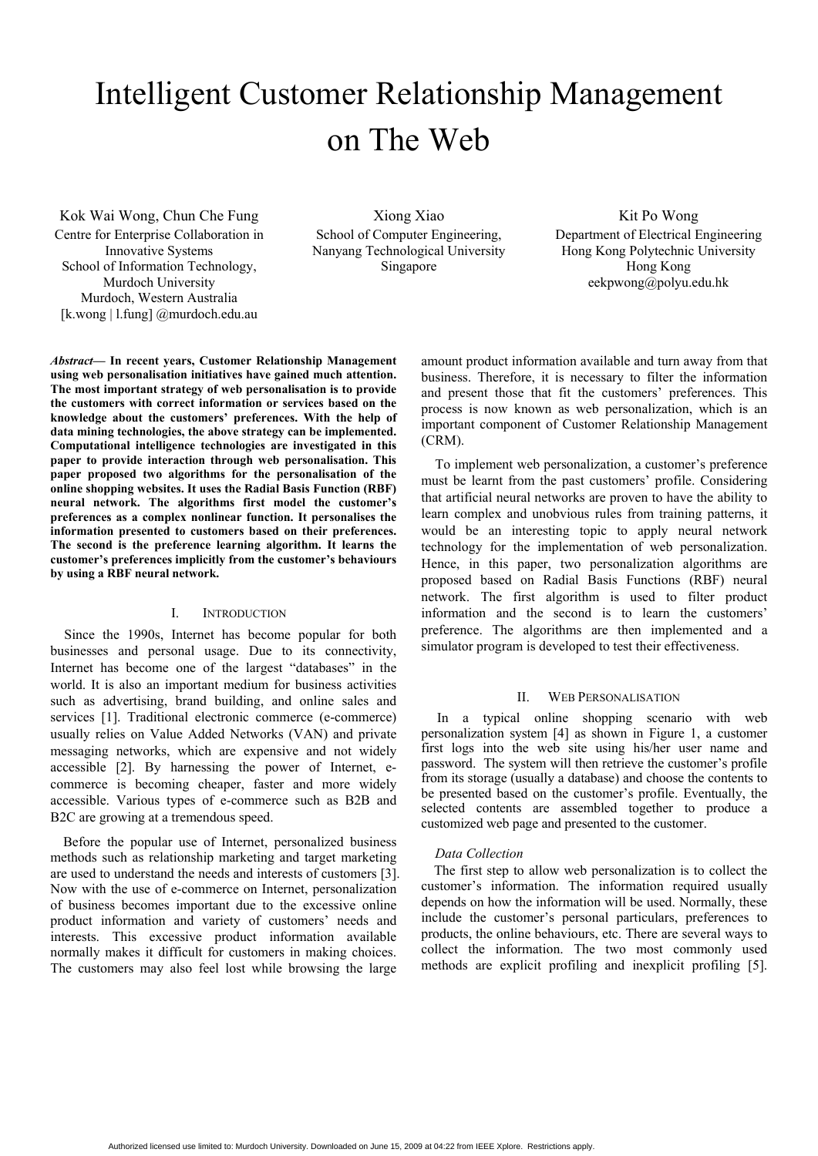# Intelligent Customer Relationship Management on The Web

Kok Wai Wong, Chun Che Fung Centre for Enterprise Collaboration in Innovative Systems School of Information Technology, Murdoch University Murdoch, Western Australia [k.wong | l.fung] @murdoch.edu.au

Xiong Xiao School of Computer Engineering, Nanyang Technological University Singapore

Kit Po Wong Department of Electrical Engineering Hong Kong Polytechnic University Hong Kong eekpwong@polyu.edu.hk

*Abstract***— In recent years, Customer Relationship Management using web personalisation initiatives have gained much attention. The most important strategy of web personalisation is to provide the customers with correct information or services based on the knowledge about the customers' preferences. With the help of data mining technologies, the above strategy can be implemented. Computational intelligence technologies are investigated in this paper to provide interaction through web personalisation. This paper proposed two algorithms for the personalisation of the online shopping websites. It uses the Radial Basis Function (RBF) neural network. The algorithms first model the customer's preferences as a complex nonlinear function. It personalises the information presented to customers based on their preferences. The second is the preference learning algorithm. It learns the customer's preferences implicitly from the customer's behaviours by using a RBF neural network.** 

### I. INTRODUCTION

Since the 1990s, Internet has become popular for both businesses and personal usage. Due to its connectivity, Internet has become one of the largest "databases" in the world. It is also an important medium for business activities such as advertising, brand building, and online sales and services [1]. Traditional electronic commerce (e-commerce) usually relies on Value Added Networks (VAN) and private messaging networks, which are expensive and not widely accessible [2]. By harnessing the power of Internet, ecommerce is becoming cheaper, faster and more widely accessible. Various types of e-commerce such as B2B and B2C are growing at a tremendous speed.

Before the popular use of Internet, personalized business methods such as relationship marketing and target marketing are used to understand the needs and interests of customers [3]. Now with the use of e-commerce on Internet, personalization of business becomes important due to the excessive online product information and variety of customers' needs and interests. This excessive product information available normally makes it difficult for customers in making choices. The customers may also feel lost while browsing the large

amount product information available and turn away from that business. Therefore, it is necessary to filter the information and present those that fit the customers' preferences. This process is now known as web personalization, which is an important component of Customer Relationship Management (CRM).

To implement web personalization, a customer's preference must be learnt from the past customers' profile. Considering that artificial neural networks are proven to have the ability to learn complex and unobvious rules from training patterns, it would be an interesting topic to apply neural network technology for the implementation of web personalization. Hence, in this paper, two personalization algorithms are proposed based on Radial Basis Functions (RBF) neural network. The first algorithm is used to filter product information and the second is to learn the customers' preference. The algorithms are then implemented and a simulator program is developed to test their effectiveness.

# II. WEB PERSONALISATION

In a typical online shopping scenario with web personalization system [4] as shown in Figure 1, a customer first logs into the web site using his/her user name and password. The system will then retrieve the customer's profile from its storage (usually a database) and choose the contents to be presented based on the customer's profile. Eventually, the selected contents are assembled together to produce a customized web page and presented to the customer.

#### *Data Collection*

The first step to allow web personalization is to collect the customer's information. The information required usually depends on how the information will be used. Normally, these include the customer's personal particulars, preferences to products, the online behaviours, etc. There are several ways to collect the information. The two most commonly used methods are explicit profiling and inexplicit profiling [5].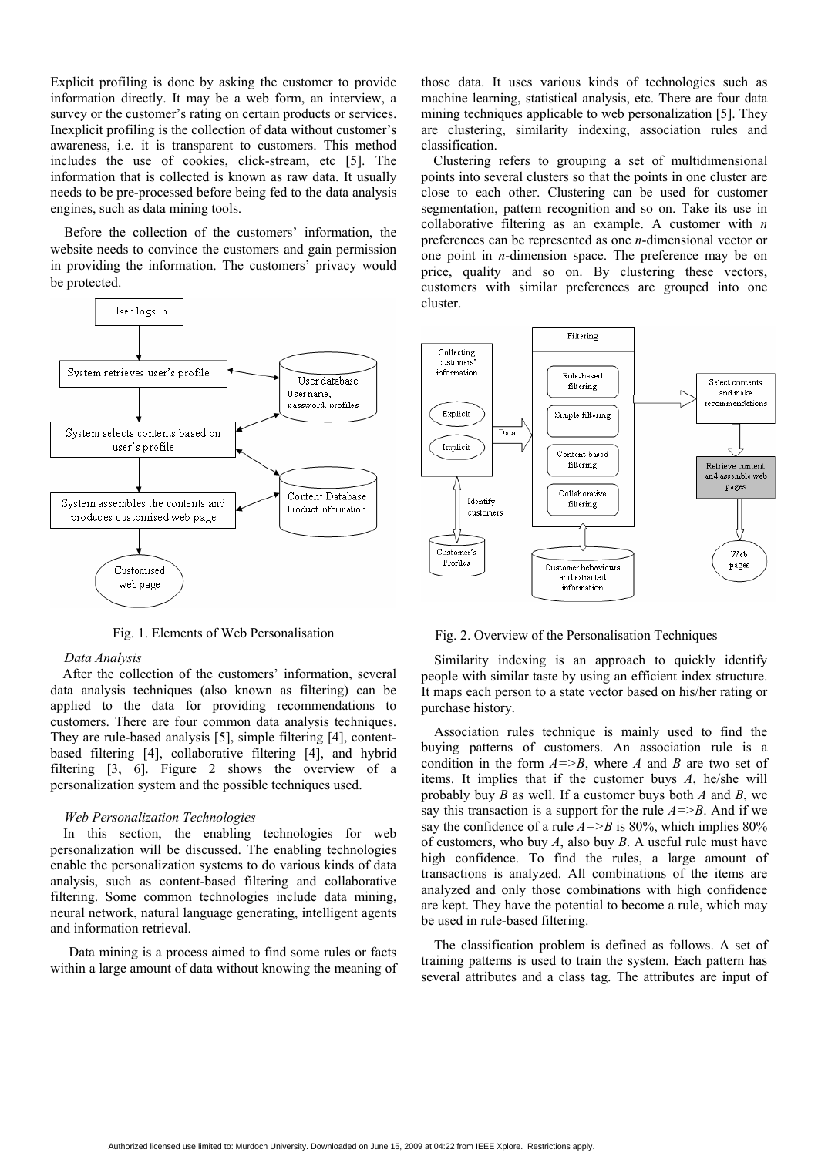Explicit profiling is done by asking the customer to provide information directly. It may be a web form, an interview, a survey or the customer's rating on certain products or services. Inexplicit profiling is the collection of data without customer's awareness, i.e. it is transparent to customers. This method includes the use of cookies, click-stream, etc [5]. The information that is collected is known as raw data. It usually needs to be pre-processed before being fed to the data analysis engines, such as data mining tools.

Before the collection of the customers' information, the website needs to convince the customers and gain permission in providing the information. The customers' privacy would be protected.



Fig. 1. Elements of Web Personalisation

## *Data Analysis*

After the collection of the customers' information, several data analysis techniques (also known as filtering) can be applied to the data for providing recommendations to customers. There are four common data analysis techniques. They are rule-based analysis [5], simple filtering [4], contentbased filtering [4], collaborative filtering [4], and hybrid filtering [3, 6]. Figure 2 shows the overview of a personalization system and the possible techniques used.

# *Web Personalization Technologies*

In this section, the enabling technologies for web personalization will be discussed. The enabling technologies enable the personalization systems to do various kinds of data analysis, such as content-based filtering and collaborative filtering. Some common technologies include data mining, neural network, natural language generating, intelligent agents and information retrieval.

Data mining is a process aimed to find some rules or facts within a large amount of data without knowing the meaning of

those data. It uses various kinds of technologies such as machine learning, statistical analysis, etc. There are four data mining techniques applicable to web personalization [5]. They are clustering, similarity indexing, association rules and classification.

Clustering refers to grouping a set of multidimensional points into several clusters so that the points in one cluster are close to each other. Clustering can be used for customer segmentation, pattern recognition and so on. Take its use in collaborative filtering as an example. A customer with *n* preferences can be represented as one *n*-dimensional vector or one point in *n*-dimension space. The preference may be on price, quality and so on. By clustering these vectors, customers with similar preferences are grouped into one cluster.



Fig. 2. Overview of the Personalisation Techniques

Similarity indexing is an approach to quickly identify people with similar taste by using an efficient index structure. It maps each person to a state vector based on his/her rating or purchase history.

Association rules technique is mainly used to find the buying patterns of customers. An association rule is a condition in the form *A=>B*, where *A* and *B* are two set of items. It implies that if the customer buys *A*, he/she will probably buy *B* as well. If a customer buys both *A* and *B*, we say this transaction is a support for the rule  $A = \ge B$ . And if we say the confidence of a rule  $A = > B$  is 80%, which implies 80% of customers, who buy *A*, also buy *B*. A useful rule must have high confidence. To find the rules, a large amount of transactions is analyzed. All combinations of the items are analyzed and only those combinations with high confidence are kept. They have the potential to become a rule, which may be used in rule-based filtering.

The classification problem is defined as follows. A set of training patterns is used to train the system. Each pattern has several attributes and a class tag. The attributes are input of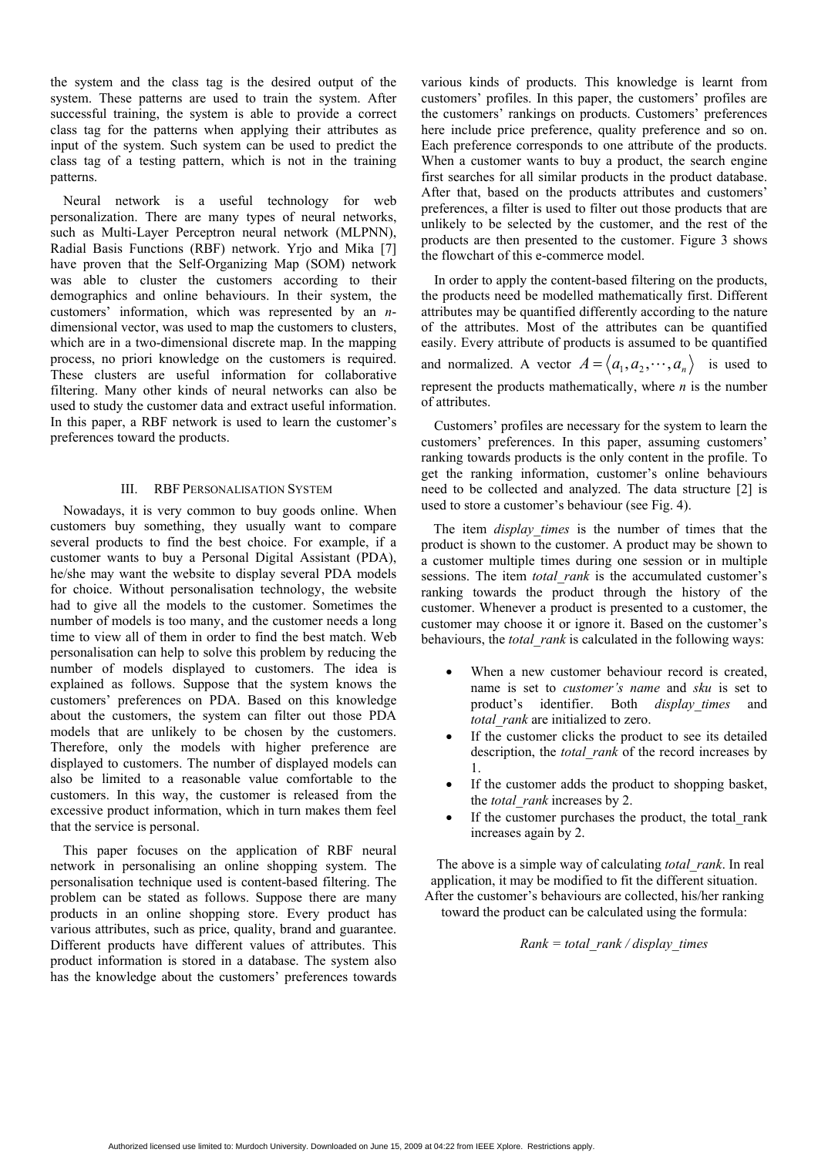the system and the class tag is the desired output of the system. These patterns are used to train the system. After successful training, the system is able to provide a correct class tag for the patterns when applying their attributes as input of the system. Such system can be used to predict the class tag of a testing pattern, which is not in the training patterns.

Neural network is a useful technology for web personalization. There are many types of neural networks, such as Multi-Layer Perceptron neural network (MLPNN), Radial Basis Functions (RBF) network. Yrjo and Mika [7] have proven that the Self-Organizing Map (SOM) network was able to cluster the customers according to their demographics and online behaviours. In their system, the customers' information, which was represented by an *n*dimensional vector, was used to map the customers to clusters, which are in a two-dimensional discrete map. In the mapping process, no priori knowledge on the customers is required. These clusters are useful information for collaborative filtering. Many other kinds of neural networks can also be used to study the customer data and extract useful information. In this paper, a RBF network is used to learn the customer's preferences toward the products.

# III. RBF PERSONALISATION SYSTEM

Nowadays, it is very common to buy goods online. When customers buy something, they usually want to compare several products to find the best choice. For example, if a customer wants to buy a Personal Digital Assistant (PDA), he/she may want the website to display several PDA models for choice. Without personalisation technology, the website had to give all the models to the customer. Sometimes the number of models is too many, and the customer needs a long time to view all of them in order to find the best match. Web personalisation can help to solve this problem by reducing the number of models displayed to customers. The idea is explained as follows. Suppose that the system knows the customers' preferences on PDA. Based on this knowledge about the customers, the system can filter out those PDA models that are unlikely to be chosen by the customers. Therefore, only the models with higher preference are displayed to customers. The number of displayed models can also be limited to a reasonable value comfortable to the customers. In this way, the customer is released from the excessive product information, which in turn makes them feel that the service is personal.

This paper focuses on the application of RBF neural network in personalising an online shopping system. The personalisation technique used is content-based filtering. The problem can be stated as follows. Suppose there are many products in an online shopping store. Every product has various attributes, such as price, quality, brand and guarantee. Different products have different values of attributes. This product information is stored in a database. The system also has the knowledge about the customers' preferences towards

various kinds of products. This knowledge is learnt from customers' profiles. In this paper, the customers' profiles are the customers' rankings on products. Customers' preferences here include price preference, quality preference and so on. Each preference corresponds to one attribute of the products. When a customer wants to buy a product, the search engine first searches for all similar products in the product database. After that, based on the products attributes and customers' preferences, a filter is used to filter out those products that are unlikely to be selected by the customer, and the rest of the products are then presented to the customer. Figure 3 shows the flowchart of this e-commerce model.

In order to apply the content-based filtering on the products. the products need be modelled mathematically first. Different attributes may be quantified differently according to the nature of the attributes. Most of the attributes can be quantified easily. Every attribute of products is assumed to be quantified and normalized. A vector  $A = \langle a_1, a_2, \dots, a_n \rangle$  is used to represent the products mathematically, where *n* is the number of attributes.

Customers' profiles are necessary for the system to learn the customers' preferences. In this paper, assuming customers' ranking towards products is the only content in the profile. To get the ranking information, customer's online behaviours need to be collected and analyzed. The data structure [2] is used to store a customer's behaviour (see Fig. 4).

The item *display times* is the number of times that the product is shown to the customer. A product may be shown to a customer multiple times during one session or in multiple sessions. The item *total\_rank* is the accumulated customer's ranking towards the product through the history of the customer. Whenever a product is presented to a customer, the customer may choose it or ignore it. Based on the customer's behaviours, the *total\_rank* is calculated in the following ways:

- When a new customer behaviour record is created name is set to *customer's name* and *sku* is set to product's identifier. Both *display\_times* and *total\_rank* are initialized to zero.
- If the customer clicks the product to see its detailed description, the *total\_rank* of the record increases by 1.
- If the customer adds the product to shopping basket, the *total\_rank* increases by 2.
- If the customer purchases the product, the total rank increases again by 2.

The above is a simple way of calculating *total\_rank*. In real application, it may be modified to fit the different situation. After the customer's behaviours are collected, his/her ranking toward the product can be calculated using the formula:

*Rank = total\_rank / display\_times*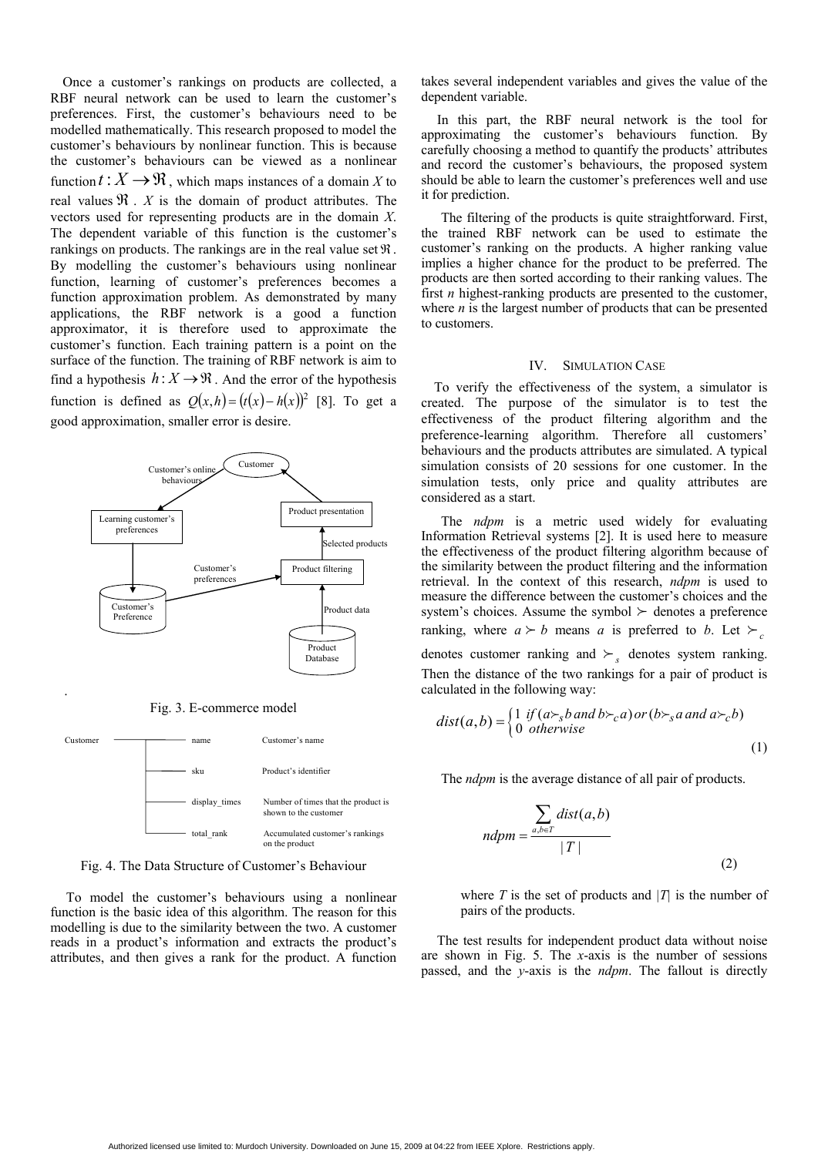Once a customer's rankings on products are collected, a RBF neural network can be used to learn the customer's preferences. First, the customer's behaviours need to be modelled mathematically. This research proposed to model the customer's behaviours by nonlinear function. This is because the customer's behaviours can be viewed as a nonlinear function  $t: X \to \Re$ , which maps instances of a domain *X* to real values  $\Re$ . *X* is the domain of product attributes. The vectors used for representing products are in the domain *X*. The dependent variable of this function is the customer's rankings on products. The rankings are in the real value set  $\Re$ . By modelling the customer's behaviours using nonlinear function, learning of customer's preferences becomes a function approximation problem. As demonstrated by many applications, the RBF network is a good a function approximator, it is therefore used to approximate the customer's function. Each training pattern is a point on the surface of the function. The training of RBF network is aim to find a hypothesis  $h: X \to \mathbb{R}$ . And the error of the hypothesis function is defined as  $Q(x, h) = (t(x) - h(x))^2$  [8]. To get a good approximation, smaller error is desire.



Fig. 3. E-commerce model



Fig. 4. The Data Structure of Customer's Behaviour

To model the customer's behaviours using a nonlinear function is the basic idea of this algorithm. The reason for this modelling is due to the similarity between the two. A customer reads in a product's information and extracts the product's attributes, and then gives a rank for the product. A function

takes several independent variables and gives the value of the dependent variable.

In this part, the RBF neural network is the tool for approximating the customer's behaviours function. By carefully choosing a method to quantify the products' attributes and record the customer's behaviours, the proposed system should be able to learn the customer's preferences well and use it for prediction.

The filtering of the products is quite straightforward. First, the trained RBF network can be used to estimate the customer's ranking on the products. A higher ranking value implies a higher chance for the product to be preferred. The products are then sorted according to their ranking values. The first *n* highest-ranking products are presented to the customer, where *n* is the largest number of products that can be presented to customers.

#### IV. SIMULATION CASE

To verify the effectiveness of the system, a simulator is created. The purpose of the simulator is to test the effectiveness of the product filtering algorithm and the preference-learning algorithm. Therefore all customers' behaviours and the products attributes are simulated. A typical simulation consists of 20 sessions for one customer. In the simulation tests, only price and quality attributes are considered as a start.

The *ndpm* is a metric used widely for evaluating Information Retrieval systems [2]. It is used here to measure the effectiveness of the product filtering algorithm because of the similarity between the product filtering and the information retrieval. In the context of this research, *ndpm* is used to measure the difference between the customer's choices and the system's choices. Assume the symbol  $\succeq$  denotes a preference ranking, where  $a \succ b$  means *a* is preferred to *b*. Let  $\succ_c$ denotes customer ranking and  $\succ$ <sub>s</sub> denotes system ranking. Then the distance of the two rankings for a pair of product is calculated in the following way:

$$
dist(a,b) = \begin{cases} 1 & \text{if } (a \succ_{s} b \text{ and } b \succ_{c} a) \text{ or } (b \succ_{s} a \text{ and } a \succ_{c} b) \\ 0 & \text{otherwise} \end{cases}
$$
(1)

The *ndpm* is the average distance of all pair of products.

$$
ndpm = \frac{\sum_{a,b \in T} dist(a,b)}{|T|}
$$
\n(2)

where  $T$  is the set of products and  $|T|$  is the number of pairs of the products.

The test results for independent product data without noise are shown in Fig. 5. The *x*-axis is the number of sessions passed, and the *y*-axis is the *ndpm*. The fallout is directly